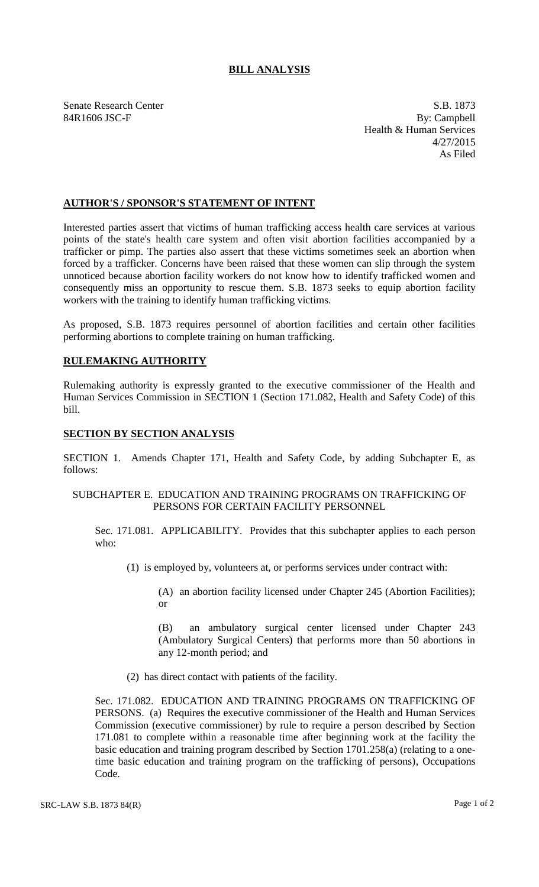# **BILL ANALYSIS**

Senate Research Center S.B. 1873 84R1606 JSC-F By: Campbell Health & Human Services 4/27/2015 As Filed

## **AUTHOR'S / SPONSOR'S STATEMENT OF INTENT**

Interested parties assert that victims of human trafficking access health care services at various points of the state's health care system and often visit abortion facilities accompanied by a trafficker or pimp. The parties also assert that these victims sometimes seek an abortion when forced by a trafficker. Concerns have been raised that these women can slip through the system unnoticed because abortion facility workers do not know how to identify trafficked women and consequently miss an opportunity to rescue them. S.B. 1873 seeks to equip abortion facility workers with the training to identify human trafficking victims.

As proposed, S.B. 1873 requires personnel of abortion facilities and certain other facilities performing abortions to complete training on human trafficking.

# **RULEMAKING AUTHORITY**

Rulemaking authority is expressly granted to the executive commissioner of the Health and Human Services Commission in SECTION 1 (Section 171.082, Health and Safety Code) of this bill.

### **SECTION BY SECTION ANALYSIS**

SECTION 1. Amends Chapter 171, Health and Safety Code, by adding Subchapter E, as follows:

### SUBCHAPTER E. EDUCATION AND TRAINING PROGRAMS ON TRAFFICKING OF PERSONS FOR CERTAIN FACILITY PERSONNEL

Sec. 171.081. APPLICABILITY. Provides that this subchapter applies to each person who:

(1) is employed by, volunteers at, or performs services under contract with:

(A) an abortion facility licensed under Chapter 245 (Abortion Facilities); or

(B) an ambulatory surgical center licensed under Chapter 243 (Ambulatory Surgical Centers) that performs more than 50 abortions in any 12-month period; and

(2) has direct contact with patients of the facility.

Sec. 171.082. EDUCATION AND TRAINING PROGRAMS ON TRAFFICKING OF PERSONS. (a) Requires the executive commissioner of the Health and Human Services Commission (executive commissioner) by rule to require a person described by Section 171.081 to complete within a reasonable time after beginning work at the facility the basic education and training program described by Section 1701.258(a) (relating to a onetime basic education and training program on the trafficking of persons), Occupations Code.